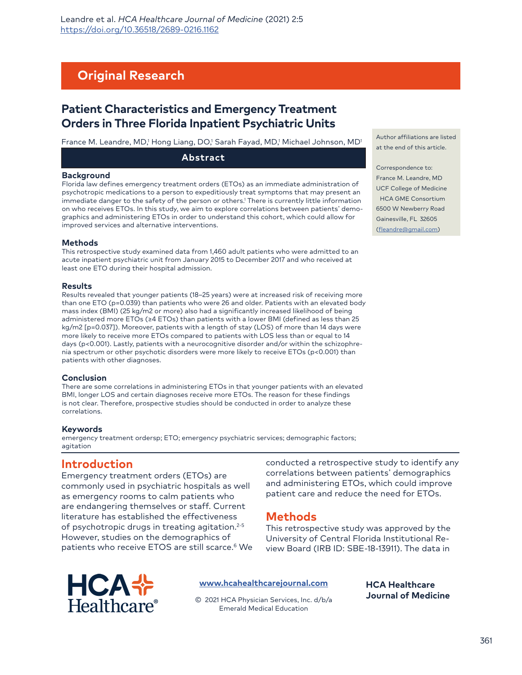# **Original Research**

# **Patient Characteristics and Emergency Treatment Orders in Three Florida Inpatient Psychiatric Units**

France M. Leandre, MD,<sup>1</sup> Hong Liang, DO,<sup>1</sup> Sarah Fayad, MD,<sup>1</sup> Michael Johnson, MD<sup>1</sup>

**Abstract**

#### **Background**

Florida law defines emergency treatment orders (ETOs) as an immediate administration of psychotropic medications to a person to expeditiously treat symptoms that may present an immediate danger to the safety of the person or others.1 There is currently little information on who receives ETOs. In this study, we aim to explore correlations between patients' demographics and administering ETOs in order to understand this cohort, which could allow for improved services and alternative interventions.

#### **Methods**

This retrospective study examined data from 1,460 adult patients who were admitted to an acute inpatient psychiatric unit from January 2015 to December 2017 and who received at least one ETO during their hospital admission.

#### **Results**

Results revealed that younger patients (18–25 years) were at increased risk of receiving more than one ETO (p=0.039) than patients who were 26 and older. Patients with an elevated body mass index (BMI) (25 kg/m2 or more) also had a significantly increased likelihood of being administered more ETOs (≥4 ETOs) than patients with a lower BMI (defined as less than 25 kg/m2 [p=0.037]). Moreover, patients with a length of stay (LOS) of more than 14 days were more likely to receive more ETOs compared to patients with LOS less than or equal to 14 days (p<0.001). Lastly, patients with a neurocognitive disorder and/or within the schizophrenia spectrum or other psychotic disorders were more likely to receive ETOs (p<0.001) than patients with other diagnoses.

#### **Conclusion**

There are some correlations in administering ETOs in that younger patients with an elevated BMI, longer LOS and certain diagnoses receive more ETOs. The reason for these findings is not clear. Therefore, prospective studies should be conducted in order to analyze these correlations.

#### **Keywords**

emergency treatment ordersp; ETO; emergency psychiatric services; demographic factors; agitation

## **Introduction**

Emergency treatment orders (ETOs) are commonly used in psychiatric hospitals as well as emergency rooms to calm patients who are endangering themselves or staff. Current literature has established the effectiveness of psychotropic drugs in treating agitation.<sup>2-5</sup> However, studies on the demographics of patients who receive ETOS are still scarce.<sup>6</sup> We conducted a retrospective study to identify any correlations between patients' demographics and administering ETOs, which could improve patient care and reduce the need for ETOs.

## **Methods**

This retrospective study was approved by the University of Central Florida Institutional Review Board (IRB ID: SBE-18-13911). The data in



#### **[www.hcahealthcarejournal.com](http://www.hcahealthcarejournal.com)**

© 2021 HCA Physician Services, Inc. d/b/a Emerald Medical Education

**HCA Healthcare Journal of Medicine**

Author affiliations are listed at the end of this article.

Correspondence to: France M. Leandre, MD UCF College of Medicine HCA GME Consortium 6500 W Newberry Road [Gainesville, FL 32605](mailto:fleandre@gmail.com) (fleandre@gmail.com)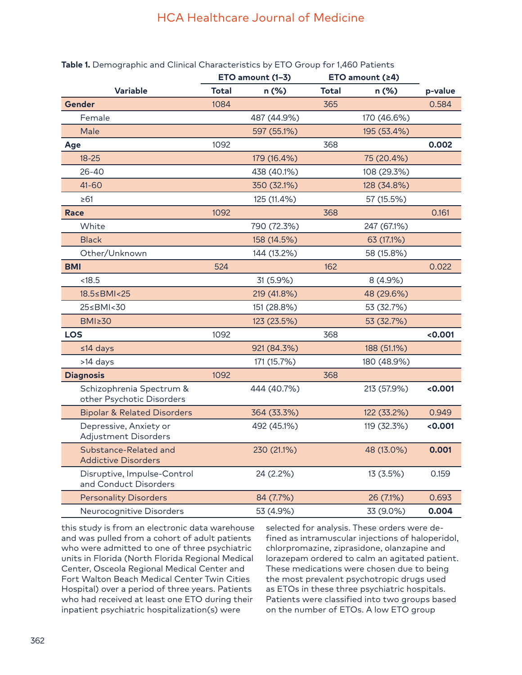### **Table 1.** Demographic and Clinical Characteristics by ETO Group for 1,460 Patients

|                                                       | ETO amount (1-3) |             | ETO amount (≥4) |             |         |
|-------------------------------------------------------|------------------|-------------|-----------------|-------------|---------|
| <b>Variable</b>                                       | <b>Total</b>     | n (%)       | <b>Total</b>    | $n$ (%)     | p-value |
| Gender                                                | 1084             |             | 365             |             | 0.584   |
| Female                                                |                  | 487 (44.9%) |                 | 170 (46.6%) |         |
| Male                                                  |                  | 597 (55.1%) |                 | 195 (53.4%) |         |
| Age                                                   | 1092             |             | 368             |             | 0.002   |
| $18 - 25$                                             |                  | 179 (16.4%) |                 | 75 (20.4%)  |         |
| $26 - 40$                                             |                  | 438 (40.1%) |                 | 108 (29.3%) |         |
| $41 - 60$                                             |                  | 350 (32.1%) |                 | 128 (34.8%) |         |
| $\geq 61$                                             |                  | 125 (11.4%) |                 | 57 (15.5%)  |         |
| <b>Race</b>                                           | 1092             |             | 368             |             | 0.161   |
| White                                                 |                  | 790 (72.3%) |                 | 247 (67.1%) |         |
| <b>Black</b>                                          |                  | 158 (14.5%) |                 | 63 (17.1%)  |         |
| Other/Unknown                                         |                  | 144 (13.2%) |                 | 58 (15.8%)  |         |
| <b>BMI</b>                                            | 524              |             | 162             |             | 0.022   |
| < 18.5                                                |                  | 31 (5.9%)   |                 | 8 (4.9%)    |         |
| 18.5≤BMI<25                                           |                  | 219 (41.8%) |                 | 48 (29.6%)  |         |
| 25≤BMI<30                                             |                  | 151 (28.8%) |                 | 53 (32.7%)  |         |
| <b>BMI≥30</b>                                         |                  | 123 (23.5%) |                 | 53 (32.7%)  |         |
| <b>LOS</b>                                            | 1092             |             | 368             |             | < 0.001 |
| $≤14$ days                                            |                  | 921 (84.3%) |                 | 188 (51.1%) |         |
| >14 days                                              |                  | 171 (15.7%) |                 | 180 (48.9%) |         |
| <b>Diagnosis</b>                                      | 1092             |             | 368             |             |         |
| Schizophrenia Spectrum &<br>other Psychotic Disorders |                  | 444 (40.7%) |                 | 213 (57.9%) | <0.001  |
| <b>Bipolar &amp; Related Disorders</b>                |                  | 364 (33.3%) |                 | 122 (33.2%) | 0.949   |
| Depressive, Anxiety or<br>Adjustment Disorders        |                  | 492 (45.1%) |                 | 119 (32.3%) | < 0.001 |
| Substance-Related and<br><b>Addictive Disorders</b>   |                  | 230 (21.1%) |                 | 48 (13.0%)  | 0.001   |
| Disruptive, Impulse-Control<br>and Conduct Disorders  |                  | 24 (2.2%)   |                 | 13 (3.5%)   | 0.159   |
| <b>Personality Disorders</b>                          |                  | 84 (7.7%)   |                 | 26 (7.1%)   | 0.693   |
| Neurocognitive Disorders                              |                  | 53 (4.9%)   |                 | 33 (9.0%)   | 0.004   |

this study is from an electronic data warehouse and was pulled from a cohort of adult patients who were admitted to one of three psychiatric units in Florida (North Florida Regional Medical Center, Osceola Regional Medical Center and Fort Walton Beach Medical Center Twin Cities Hospital) over a period of three years. Patients who had received at least one ETO during their inpatient psychiatric hospitalization(s) were

selected for analysis. These orders were defined as intramuscular injections of haloperidol, chlorpromazine, ziprasidone, olanzapine and lorazepam ordered to calm an agitated patient. These medications were chosen due to being the most prevalent psychotropic drugs used as ETOs in these three psychiatric hospitals. Patients were classified into two groups based on the number of ETOs. A low ETO group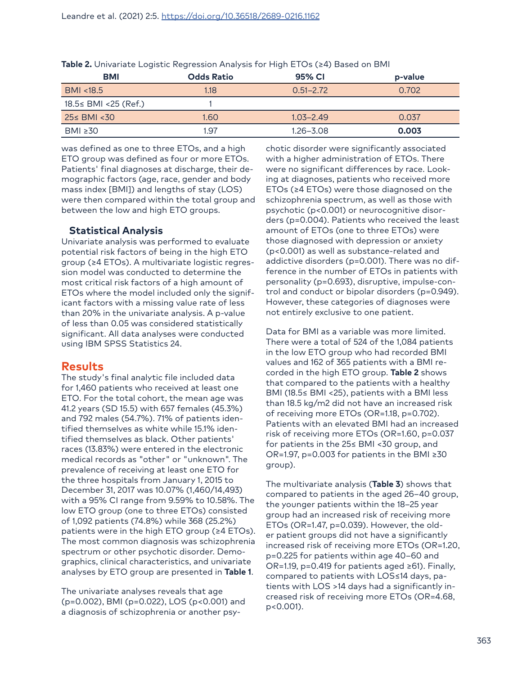| <b>BMI</b>             | <b>Odds Ratio</b> | 95% CI        | p-value |
|------------------------|-------------------|---------------|---------|
| BMI <18.5              | 1.18              | $0.51 - 2.72$ | 0.702   |
| $18.5≤$ BMI <25 (Ref.) |                   |               |         |
| $25 \leq BMI < 30$     | 1.60              | $1.03 - 2.49$ | 0.037   |
| BMI $\geq 30$          | 1.97              | 1.26–3.08     | 0.003   |

**Table 2.** Univariate Logistic Regression Analysis for High ETOs (≥4) Based on BMI

was defined as one to three ETOs, and a high ETO group was defined as four or more ETOs. Patients' final diagnoses at discharge, their demographic factors (age, race, gender and body mass index [BMI]) and lengths of stay (LOS) were then compared within the total group and between the low and high ETO groups.

### **Statistical Analysis**

Univariate analysis was performed to evaluate potential risk factors of being in the high ETO group (≥4 ETOs). A multivariate logistic regression model was conducted to determine the most critical risk factors of a high amount of ETOs where the model included only the significant factors with a missing value rate of less than 20% in the univariate analysis. A p-value of less than 0.05 was considered statistically significant. All data analyses were conducted using IBM SPSS Statistics 24.

### **Results**

The study's final analytic file included data for 1,460 patients who received at least one ETO. For the total cohort, the mean age was 41.2 years (SD 15.5) with 657 females (45.3%) and 792 males (54.7%). 71% of patients identified themselves as white while 15.1% identified themselves as black. Other patients' races (13.83%) were entered in the electronic medical records as "other" or "unknown". The prevalence of receiving at least one ETO for the three hospitals from January 1, 2015 to December 31, 2017 was 10.07% (1,460/14,493) with a 95% CI range from 9.59% to 10.58%. The low ETO group (one to three ETOs) consisted of 1,092 patients (74.8%) while 368 (25.2%) patients were in the high ETO group (≥4 ETOs). The most common diagnosis was schizophrenia spectrum or other psychotic disorder. Demographics, clinical characteristics, and univariate analyses by ETO group are presented in **Table 1**.

The univariate analyses reveals that age (p=0.002), BMI (p=0.022), LOS (p<0.001) and a diagnosis of schizophrenia or another psychotic disorder were significantly associated with a higher administration of ETOs. There were no significant differences by race. Looking at diagnoses, patients who received more ETOs (≥4 ETOs) were those diagnosed on the schizophrenia spectrum, as well as those with psychotic (p<0.001) or neurocognitive disorders (p=0.004). Patients who received the least amount of ETOs (one to three ETOs) were those diagnosed with depression or anxiety (p<0.001) as well as substance-related and addictive disorders (p=0.001). There was no difference in the number of ETOs in patients with personality (p=0.693), disruptive, impulse-control and conduct or bipolar disorders (p=0.949). However, these categories of diagnoses were not entirely exclusive to one patient.

Data for BMI as a variable was more limited. There were a total of 524 of the 1,084 patients in the low ETO group who had recorded BMI values and 162 of 365 patients with a BMI recorded in the high ETO group. **Table 2** shows that compared to the patients with a healthy BMI (18.5≤ BMI <25), patients with a BMI less than 18.5 kg/m2 did not have an increased risk of receiving more ETOs (OR=1.18, p=0.702). Patients with an elevated BMI had an increased risk of receiving more ETOs (OR=1.60, p=0.037 for patients in the 25≤ BMI <30 group, and OR=1.97, p=0.003 for patients in the BMI ≥30 group).

The multivariate analysis (**Table 3**) shows that compared to patients in the aged 26–40 group, the younger patients within the 18–25 year group had an increased risk of receiving more ETOs (OR=1.47, p=0.039). However, the older patient groups did not have a significantly increased risk of receiving more ETOs (OR=1.20, p=0.225 for patients within age 40–60 and OR=1.19, p=0.419 for patients aged ≥61). Finally, compared to patients with LOS≤14 days, patients with LOS >14 days had a significantly increased risk of receiving more ETOs (OR=4.68, p<0.001).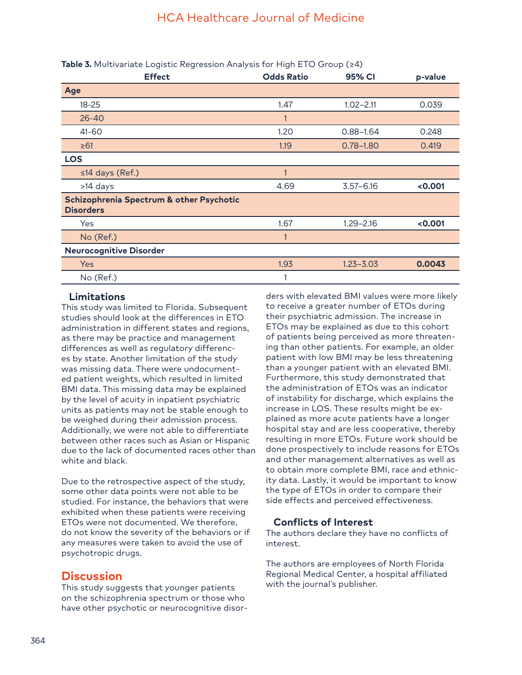| <b>Effect</b>                                                | <b>Odds Ratio</b> | 95% CI        | p-value |
|--------------------------------------------------------------|-------------------|---------------|---------|
| Age                                                          |                   |               |         |
| $18 - 25$                                                    | 1.47              | $1.02 - 2.11$ | 0.039   |
| $26 - 40$                                                    | 1                 |               |         |
| 41-60                                                        | 1.20              | $0.88 - 1.64$ | 0.248   |
| $\geq 61$                                                    | 1.19              | $0.78 - 1.80$ | 0.419   |
| <b>LOS</b>                                                   |                   |               |         |
| ≤14 days (Ref.)                                              | 1                 |               |         |
| >14 days                                                     | 4.69              | $3.57 - 6.16$ | < 0.001 |
| Schizophrenia Spectrum & other Psychotic<br><b>Disorders</b> |                   |               |         |
| Yes                                                          | 1.67              | $1.29 - 2.16$ | < 0.001 |
| No (Ref.)                                                    |                   |               |         |
| <b>Neurocognitive Disorder</b>                               |                   |               |         |
| <b>Yes</b>                                                   | 1.93              | $1.23 - 3.03$ | 0.0043  |
| No (Ref.)                                                    |                   |               |         |

**Table 3.** Multivariate Logistic Regression Analysis for High ETO Group (≥4)

### **Limitations**

This study was limited to Florida. Subsequent studies should look at the differences in ETO administration in different states and regions, as there may be practice and management differences as well as regulatory differences by state. Another limitation of the study was missing data. There were undocumented patient weights, which resulted in limited BMI data. This missing data may be explained by the level of acuity in inpatient psychiatric units as patients may not be stable enough to be weighed during their admission process. Additionally, we were not able to differentiate between other races such as Asian or Hispanic due to the lack of documented races other than white and black.

Due to the retrospective aspect of the study, some other data points were not able to be studied. For instance, the behaviors that were exhibited when these patients were receiving ETOs were not documented. We therefore, do not know the severity of the behaviors or if any measures were taken to avoid the use of psychotropic drugs.

## **Discussion**

This study suggests that younger patients on the schizophrenia spectrum or those who have other psychotic or neurocognitive disorders with elevated BMI values were more likely to receive a greater number of ETOs during their psychiatric admission. The increase in ETOs may be explained as due to this cohort of patients being perceived as more threatening than other patients. For example, an older patient with low BMI may be less threatening than a younger patient with an elevated BMI. Furthermore, this study demonstrated that the administration of ETOs was an indicator of instability for discharge, which explains the increase in LOS. These results might be explained as more acute patients have a longer hospital stay and are less cooperative, thereby resulting in more ETOs. Future work should be done prospectively to include reasons for ETOs and other management alternatives as well as to obtain more complete BMI, race and ethnicity data. Lastly, it would be important to know the type of ETOs in order to compare their side effects and perceived effectiveness.

## **Conflicts of Interest**

The authors declare they have no conflicts of interest.

The authors are employees of North Florida Regional Medical Center, a hospital affiliated with the journal's publisher.